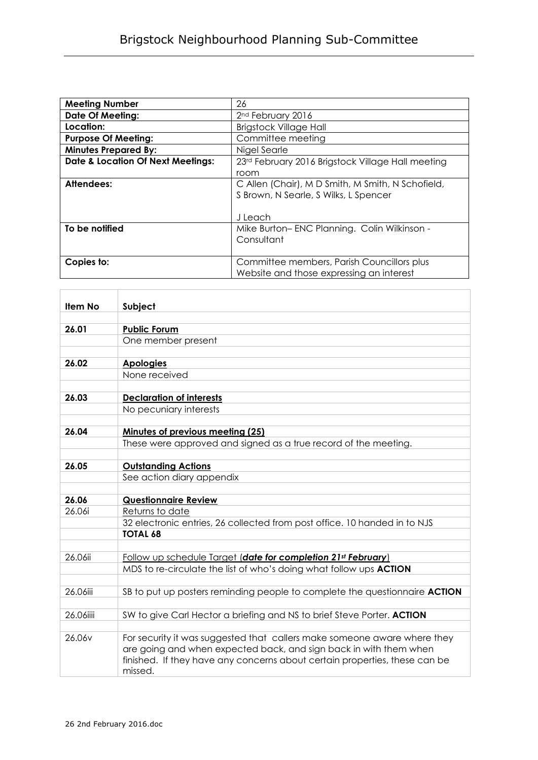| <b>Meeting Number</b>                        | 26                                                |
|----------------------------------------------|---------------------------------------------------|
| <b>Date Of Meeting:</b>                      | 2 <sup>nd</sup> February 2016                     |
| Location:                                    | <b>Brigstock Village Hall</b>                     |
| <b>Purpose Of Meeting:</b>                   | Committee meeting                                 |
| <b>Minutes Prepared By:</b>                  | Nigel Searle                                      |
| <b>Date &amp; Location Of Next Meetings:</b> | 23rd February 2016 Brigstock Village Hall meeting |
|                                              | room                                              |
| Attendees:                                   | C Allen (Chair), M D Smith, M Smith, N Schofield, |
|                                              | S Brown, N Searle, S Wilks, L Spencer             |
|                                              |                                                   |
|                                              | J Leach                                           |
| To be notified                               | Mike Burton-ENC Planning. Colin Wilkinson -       |
|                                              | Consultant                                        |
|                                              |                                                   |
| Copies to:                                   | Committee members, Parish Councillors plus        |
|                                              | Website and those expressing an interest          |

| <b>Item No</b> | Subject                                                                                                                                                                                                                                |
|----------------|----------------------------------------------------------------------------------------------------------------------------------------------------------------------------------------------------------------------------------------|
|                |                                                                                                                                                                                                                                        |
| 26.01          | <b>Public Forum</b>                                                                                                                                                                                                                    |
|                | One member present                                                                                                                                                                                                                     |
|                |                                                                                                                                                                                                                                        |
| 26.02          | <b>Apologies</b>                                                                                                                                                                                                                       |
|                | None received                                                                                                                                                                                                                          |
| 26.03          | <b>Declaration of interests</b>                                                                                                                                                                                                        |
|                | No pecuniary interests                                                                                                                                                                                                                 |
|                |                                                                                                                                                                                                                                        |
| 26.04          | Minutes of previous meeting (25)                                                                                                                                                                                                       |
|                | These were approved and signed as a true record of the meeting.                                                                                                                                                                        |
|                |                                                                                                                                                                                                                                        |
| 26.05          | <b>Outstanding Actions</b>                                                                                                                                                                                                             |
|                | See action diary appendix                                                                                                                                                                                                              |
|                |                                                                                                                                                                                                                                        |
| 26.06          | <b>Questionnaire Review</b>                                                                                                                                                                                                            |
| 26.06i         | Returns to date                                                                                                                                                                                                                        |
|                | 32 electronic entries, 26 collected from post office. 10 handed in to NJS                                                                                                                                                              |
|                | <b>TOTAL 68</b>                                                                                                                                                                                                                        |
|                |                                                                                                                                                                                                                                        |
| 26.06ii        | Follow up schedule Target (date for completion 21 <sup>st</sup> February)                                                                                                                                                              |
|                | MDS to re-circulate the list of who's doing what follow ups <b>ACTION</b>                                                                                                                                                              |
| 26.06iii       | SB to put up posters reminding people to complete the questionnaire <b>ACTION</b>                                                                                                                                                      |
|                |                                                                                                                                                                                                                                        |
| 26.06iiii      | SW to give Carl Hector a briefing and NS to brief Steve Porter. ACTION                                                                                                                                                                 |
|                |                                                                                                                                                                                                                                        |
| 26.06v         | For security it was suggested that callers make someone aware where they<br>are going and when expected back, and sign back in with them when<br>finished. If they have any concerns about certain properties, these can be<br>missed. |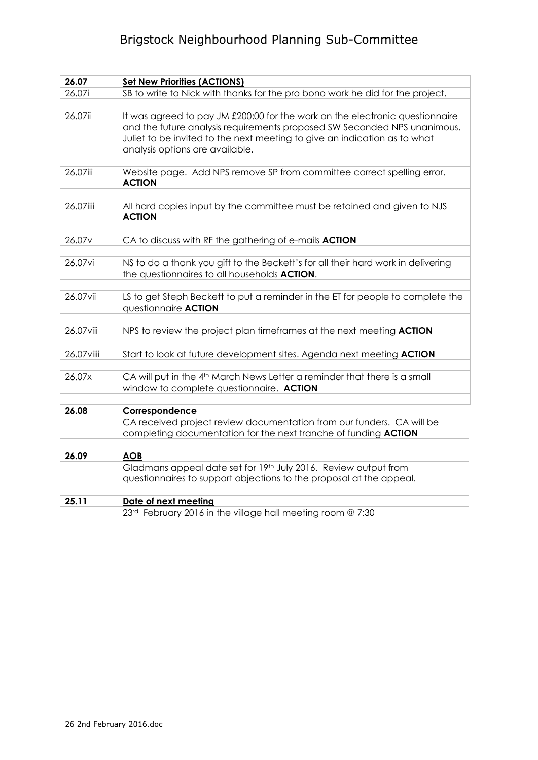## Brigstock Neighbourhood Planning Sub-Committee

| 26.07              | <b>Set New Priorities (ACTIONS)</b>                                                                                                                                                                                                                                      |
|--------------------|--------------------------------------------------------------------------------------------------------------------------------------------------------------------------------------------------------------------------------------------------------------------------|
| 26.07i             | SB to write to Nick with thanks for the pro bono work he did for the project.                                                                                                                                                                                            |
|                    |                                                                                                                                                                                                                                                                          |
| 26.07ii            | It was agreed to pay JM £200:00 for the work on the electronic questionnaire<br>and the future analysis requirements proposed SW Seconded NPS unanimous.<br>Juliet to be invited to the next meeting to give an indication as to what<br>analysis options are available. |
|                    |                                                                                                                                                                                                                                                                          |
| 26.07iii           | Website page. Add NPS remove SP from committee correct spelling error.<br><b>ACTION</b>                                                                                                                                                                                  |
|                    |                                                                                                                                                                                                                                                                          |
| 26.07iiii          | All hard copies input by the committee must be retained and given to NJS<br><b>ACTION</b>                                                                                                                                                                                |
|                    |                                                                                                                                                                                                                                                                          |
| 26.07 <sub>v</sub> | CA to discuss with RF the gathering of e-mails ACTION                                                                                                                                                                                                                    |
|                    |                                                                                                                                                                                                                                                                          |
| 26.07vi            | NS to do a thank you gift to the Beckett's for all their hard work in delivering<br>the questionnaires to all households <b>ACTION</b> .                                                                                                                                 |
|                    |                                                                                                                                                                                                                                                                          |
| 26.07vii           | LS to get Steph Beckett to put a reminder in the ET for people to complete the<br>questionnaire <b>ACTION</b>                                                                                                                                                            |
|                    |                                                                                                                                                                                                                                                                          |
| 26.07 viii         | NPS to review the project plan timeframes at the next meeting ACTION                                                                                                                                                                                                     |
|                    |                                                                                                                                                                                                                                                                          |
| 26.07 viiii        | Start to look at future development sites. Agenda next meeting <b>ACTION</b>                                                                                                                                                                                             |
|                    |                                                                                                                                                                                                                                                                          |
| 26.07x             | CA will put in the 4 <sup>th</sup> March News Letter a reminder that there is a small<br>window to complete questionnaire. ACTION                                                                                                                                        |
|                    |                                                                                                                                                                                                                                                                          |
| 26.08              | Correspondence                                                                                                                                                                                                                                                           |
|                    | CA received project review documentation from our funders. CA will be<br>completing documentation for the next tranche of funding ACTION                                                                                                                                 |
|                    |                                                                                                                                                                                                                                                                          |
| 26.09              | <b>AOB</b>                                                                                                                                                                                                                                                               |
|                    | Gladmans appeal date set for 19th July 2016. Review output from                                                                                                                                                                                                          |
|                    | questionnaires to support objections to the proposal at the appeal.                                                                                                                                                                                                      |
|                    |                                                                                                                                                                                                                                                                          |
| 25.11              | Date of next meeting                                                                                                                                                                                                                                                     |
|                    | 23rd February 2016 in the village hall meeting room @ 7:30                                                                                                                                                                                                               |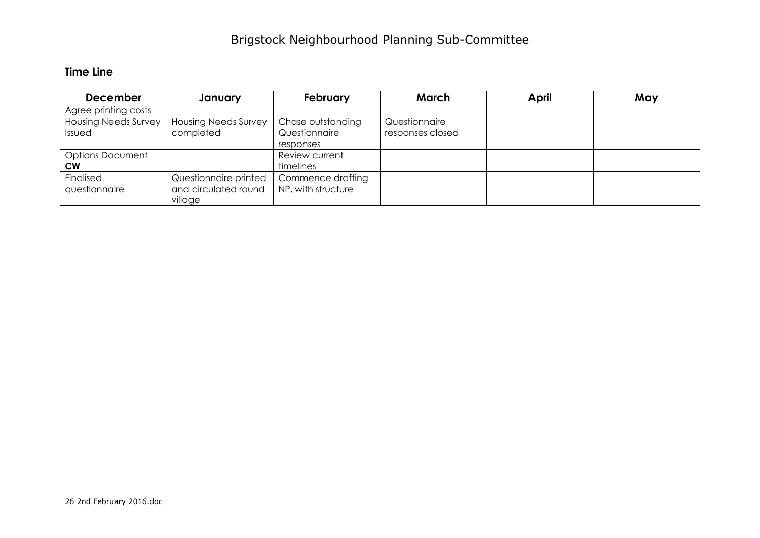## **Time Line**

| <b>December</b>             | January                     | <b>February</b>    | March            | April | May |
|-----------------------------|-----------------------------|--------------------|------------------|-------|-----|
| Agree printing costs        |                             |                    |                  |       |     |
| <b>Housing Needs Survey</b> | <b>Housing Needs Survey</b> | Chase outstanding  | Questionnaire    |       |     |
| Issued                      | completed                   | Questionnaire      | responses closed |       |     |
|                             |                             | responses          |                  |       |     |
| <b>Options Document</b>     |                             | Review current     |                  |       |     |
| <b>CW</b>                   |                             | timelines          |                  |       |     |
| Finalised                   | Questionnaire printed       | Commence drafting  |                  |       |     |
| questionnaire               | and circulated round        | NP, with structure |                  |       |     |
|                             | village                     |                    |                  |       |     |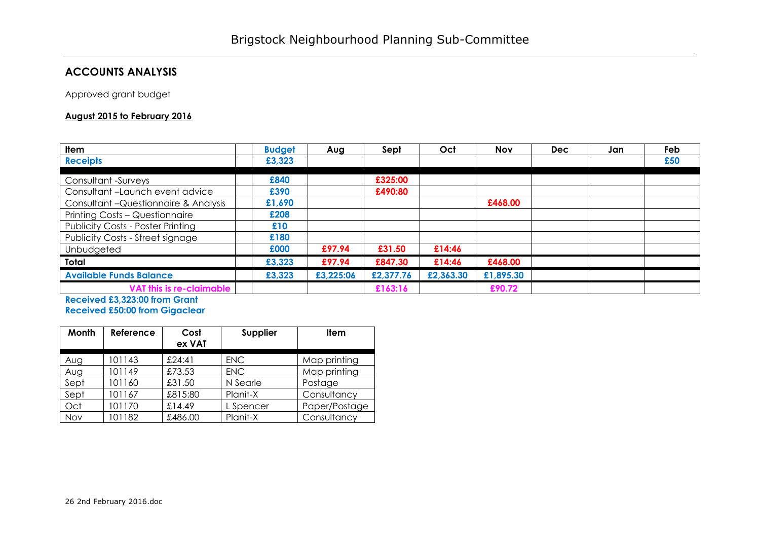## **ACCOUNTS ANALYSIS**

Approved grant budget

## **August 2015 to February 2016**

| <b>Item</b>                              | <b>Budget</b> | Aug       | Sept      | Oct       | <b>Nov</b> | <b>Dec</b> | Jan | Feb |
|------------------------------------------|---------------|-----------|-----------|-----------|------------|------------|-----|-----|
| <b>Receipts</b>                          | £3,323        |           |           |           |            |            |     | £50 |
| Consultant -Surveys                      | £840          |           | £325:00   |           |            |            |     |     |
| Consultant-Launch event advice           | £390          |           | £490:80   |           |            |            |     |     |
| Consultant - Questionnaire & Analysis    | £1,690        |           |           |           | £468.00    |            |     |     |
| Printing Costs - Questionnaire           | £208          |           |           |           |            |            |     |     |
| <b>Publicity Costs - Poster Printing</b> | £10           |           |           |           |            |            |     |     |
| <b>Publicity Costs - Street signage</b>  | £180          |           |           |           |            |            |     |     |
| Unbudgeted                               | £000          | £97.94    | £31.50    | £14:46    |            |            |     |     |
| Total                                    | £3,323        | £97.94    | £847.30   | £14:46    | £468.00    |            |     |     |
| <b>Available Funds Balance</b>           | £3,323        | £3,225:06 | £2,377.76 | £2,363.30 | £1,895.30  |            |     |     |
| VAT this is re-claimable                 |               |           | £163:16   |           | £90.72     |            |     |     |

**Received £3,323:00 from Grant Received £50:00 from Gigaclear**

| Month      | Reference | Cost<br>ex VAT | Supplier   | <b>Item</b>   |
|------------|-----------|----------------|------------|---------------|
| Aug        | 101143    | £24:41         | <b>ENC</b> | Map printing  |
| Aug        | 101149    | £73.53         | <b>ENC</b> | Map printing  |
| Sept       | 101160    | £31.50         | N Searle   | Postage       |
| Sept       | 101167    | £815:80        | Planit-X   | Consultancy   |
| Oct        | 101170    | £14.49         | L Spencer  | Paper/Postage |
| <b>Nov</b> | 101182    | £486.00        | Planit-X   | Consultancy   |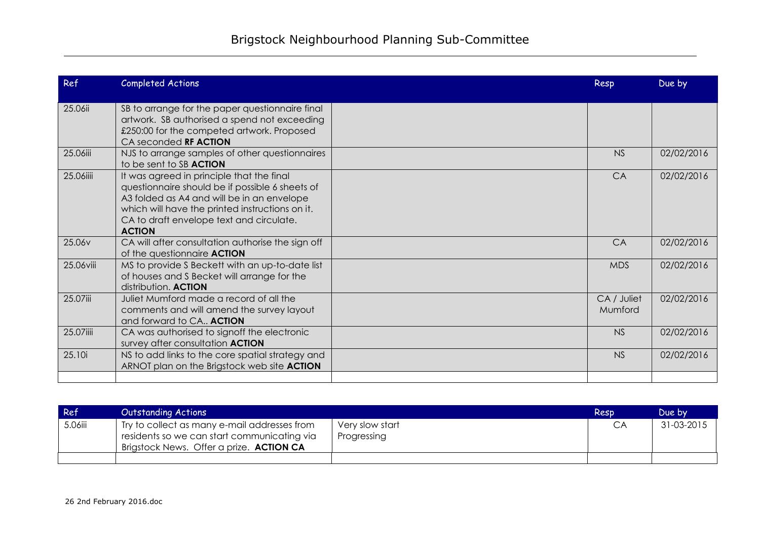| Ref       | Completed Actions                                                                                                                                                                                                                                          | Resp                   | Due by     |
|-----------|------------------------------------------------------------------------------------------------------------------------------------------------------------------------------------------------------------------------------------------------------------|------------------------|------------|
| 25.06ii   | SB to arrange for the paper questionnaire final<br>artwork. SB authorised a spend not exceeding<br>£250:00 for the competed artwork. Proposed<br>CA seconded RF ACTION                                                                                     |                        |            |
| 25.06iii  | NJS to arrange samples of other questionnaires<br>to be sent to SB ACTION                                                                                                                                                                                  | <b>NS</b>              | 02/02/2016 |
| 25.06iiii | It was agreed in principle that the final<br>questionnaire should be if possible 6 sheets of<br>A3 folded as A4 and will be in an envelope<br>which will have the printed instructions on it.<br>CA to draft envelope text and circulate.<br><b>ACTION</b> | CA                     | 02/02/2016 |
| 25.06v    | CA will after consultation authorise the sign off<br>of the questionnaire <b>ACTION</b>                                                                                                                                                                    | CA                     | 02/02/2016 |
| 25.06viii | MS to provide S Beckett with an up-to-date list<br>of houses and S Becket will arrange for the<br>distribution. ACTION                                                                                                                                     | <b>MDS</b>             | 02/02/2016 |
| 25.07iii  | Juliet Mumford made a record of all the<br>comments and will amend the survey layout<br>and forward to CA ACTION                                                                                                                                           | CA / Juliet<br>Mumford | 02/02/2016 |
| 25.07iiii | CA was authorised to signoff the electronic<br>survey after consultation ACTION                                                                                                                                                                            | <b>NS</b>              | 02/02/2016 |
| 25.10i    | NS to add links to the core spatial strategy and<br>ARNOT plan on the Brigstock web site ACTION                                                                                                                                                            | <b>NS</b>              | 02/02/2016 |
|           |                                                                                                                                                                                                                                                            |                        |            |

| Ref     | Outstanding Actions                                                                                                                            |                                | Resp | Due by     |
|---------|------------------------------------------------------------------------------------------------------------------------------------------------|--------------------------------|------|------------|
| 5.06iii | Try to collect as many e-mail addresses from<br>residents so we can start communicating via<br>Brigstock News. Offer a prize. <b>ACTION CA</b> | Very slow start<br>Progressing | CA   | 31-03-2015 |
|         |                                                                                                                                                |                                |      |            |